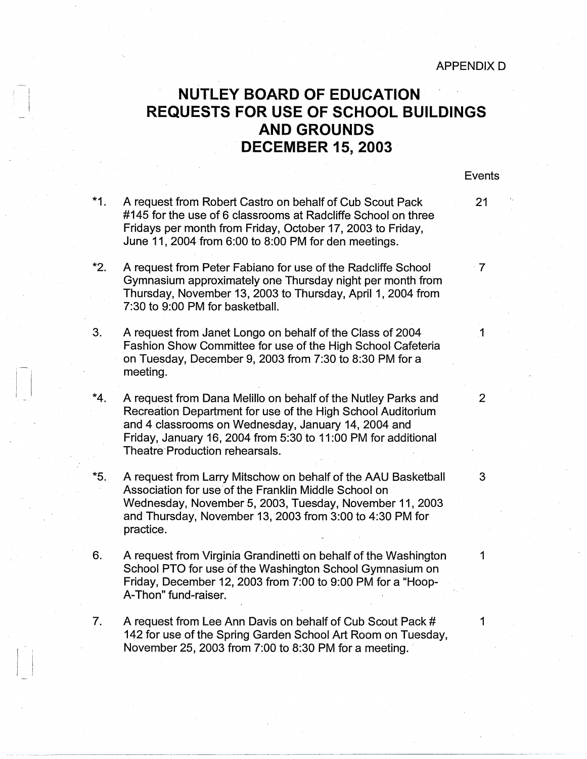**Events** 

## ! <sup>I</sup>**NUTLEY BOARD OF EDUCATION** I **REQUESTS FOR USE OF SCHOOL BUILDINGS AND GROUNDS**  . **DECEMBER 15, 2003**

- \*1. A request from Robert Castro on behalf of Cub Scout Pack 21 #145 for the use of 6 classrooms at Radcliffe School on three Fridays per month from Friday, October 17, 2003 to Friday, June 11, 2004 from 6:00 to 8:00 PM for den meetings.
- **\*2.** A request from Peter Fabiano for use of the Radcliffe School 7 Gymnasium approximately one Thursday night per month from Thursday, November 13, 2003 to Thursday, April 1, 2004 from 7:30 to 9:00 PM for basketball.
- 3. A request from Janet Longo on behalf of the Class of 2004 1 Fashion Show Committee for use of the High School-Cafeteria on Tuesday, December 9, 2003 from 7:30 to 8:30 PM for a meeting.
- \*4. A request from Dana Melillo on behalf of the Nutley Parks and 2 Recreation Department for use of the High School Auditorium and 4 classrooms on Wednesday, January 14, 2004 and Friday, January 16, 2004 from 5:30 to 11 :00 PM for additional Theatre-Production rehearsals.

 $\begin{bmatrix} 1 \\ 1 \end{bmatrix}$ 

I

 $\overline{\phantom{a}}$ 

- \*5. A request from Larry Mitschow on behalf of the AAU Basketball 3 Association for use of the Franklin Middle School on Wednesday, November 5, 2003, Tuesday, November 11, 2003 and Thursday, November 13, 2003 from 3:00 to 4:30 PM for practice.
- 6. A request from Virginia Grandinetti on behalf of the Washington 1 School PTO for use of the Washington School Gymnasium on Friday, December 12, 2003 from 7:00 to 9:00 PM for a "Hoop-A-Thon" fund-raiser:
- 7. A request from Lee Ann Davis on behalf of Cub Scout Pack # 1 142 for use of the Spring Garden School Art Room on Tuesday, November 25, 2003 from  $7:00$  to 8:30 PM for a meeting.

 $\cdot$  .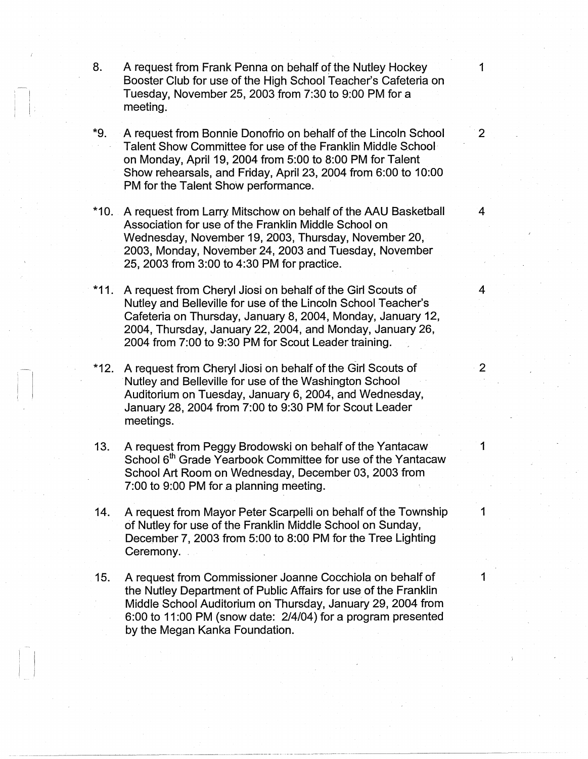- 8. A request from Frank Penna on behalf of the Nutley Hockey 1 Booster Club for use of the High School Teacher's Cafeteria on Tuesday, November 25, 2003 from 7:30 to 9:00 PM for a meeting.
- \*9. A request from Bonnie Donofrio on behalf of the Lincoln School 2 Talent Show Committee for use of the Franklin Middle School on Monday, April 19, 2004 from 5:00 to 8:00 PM for Talent Show rehearsals, and Friday, April 23, 2004 from 6:00 to 10:00 PM for the Talent Show performance.
- \*10. A request from Larry, Mitschow on behalf of the AAU Basketball 4 Association for use of the Franklin Middle School on Wednesday, November 19, 2003, Thursday, November 20, 2003, Monday, November 24, 2003 and Tuesday, November 25, 2003 from 3:00 to 4:30 PM for practice.
- \*11. A request from Cheryl Jiosi on behalf of the Girl Scouts of 4 Nutley and Belleville for use of the Lincoln School Teacher's Cafeteria on Thursday, January 8, 2004, Monday, January 12, 2004, Thursday, January 22, 2004, and Monday, January 26, 2004 from 7:00 to 9:30 PM for Scout Leader training.
- \*12. A request from Cheryl Jiosi on behalf of the Girl Scouts of 2 Nutley and Belleville for use of the Washington School Auditorium on Tuesday, January 6, 2004, and Wednesday, January 28, 2004 from 7:00 to 9:30 PM for Scout Leader meetings.
- 13. A request from Peggy Brodowski on behalf of the Yantacaw 1 School 6<sup>th</sup> Grade Yearbook Committee for use of the Yantacaw School Art Room on Wednesday, December 03, 2003 from 7:00 to 9:00 PM for a planning meeting.
- 14. A request from Mayor Peter Scarpelli on behalf of the Township 1 of Nutley for use of the Franklin Middle School on Sunday, December 7, 2003 from 5:00 to 8:00 PM for the Tree Lighting Ceremony.
- 15. A request from Commissioner Joanne Cocchiola on behalf of 1 the Nutley Department of Public Affairs for use of the Franklin Middle School Auditorium on Thursday, January 29, 2004 from 6:00 to 11 :00 PM (snow date: 2/4/04) for a program presented by the Megan Kanka Foundation.

------·------------------------------~

-

 $\begin{bmatrix} 1 \\ 1 \end{bmatrix}$ I